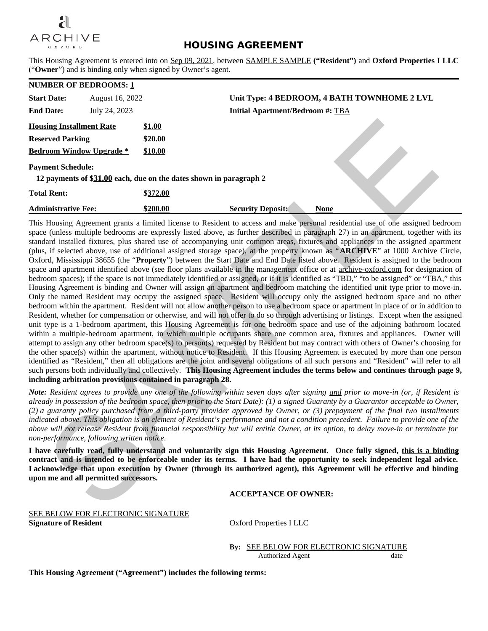

## **HOUSING AGREEMENT**

This Housing Agreement is entered into on Sep 09, 2021, between SAMPLE SAMPLE **("Resident")** and **Oxford Properties I LLC** ("**Owner**") and is binding only when signed by Owner's agent.

|                                 | <b>NUMBER OF BEDROOMS: 1</b> |          |                                                                    |
|---------------------------------|------------------------------|----------|--------------------------------------------------------------------|
| <b>Start Date:</b>              | August 16, 2022              |          | Unit Type: 4 BEDROOM, 4 BATH TOWNHOME 2 LVL                        |
| <b>End Date:</b>                | July 24, 2023                |          | <b>Initial Apartment/Bedroom #: TBA</b>                            |
| <b>Housing Installment Rate</b> |                              | \$1.00   |                                                                    |
| <b>Reserved Parking</b>         |                              | \$20.00  |                                                                    |
| <b>Bedroom Window Upgrade *</b> |                              | \$10.00  |                                                                    |
| <b>Payment Schedule:</b>        |                              |          | 12 payments of \$31.00 each, due on the dates shown in paragraph 2 |
| <b>Total Rent:</b>              |                              | \$372.00 |                                                                    |
| <b>Administrative Fee:</b>      |                              | \$200.00 | <b>Security Deposit:</b><br><b>None</b>                            |

This Housing Agreement grants a limited license to Resident to access and make personal residential use of one assigned bedroom space (unless multiple bedrooms are expressly listed above, as further described in paragraph 27) in an apartment, together with its standard installed fixtures, plus shared use of accompanying unit common areas, fixtures and appliances in the assigned apartment (plus, if selected above, use of additional assigned storage space), at the property known as "**ARCHIVE**" at 1000 Archive Circle, Oxford, Mississippi 38655 (the "**Property**") between the Start Date and End Date listed above. Resident is assigned to the bedroom space and apartment identified above (see floor plans available in the management office or at archive-oxford.com for designation of bedroom spaces); if the space is not immediately identified or assigned, or if it is identified as "TBD," "to be assigned" or "TBA," this Housing Agreement is binding and Owner will assign an apartment and bedroom matching the identified unit type prior to move-in. Only the named Resident may occupy the assigned space. Resident will occupy only the assigned bedroom space and no other bedroom within the apartment. Resident will not allow another person to use a bedroom space or apartment in place of or in addition to Resident, whether for compensation or otherwise, and will not offer to do so through advertising or listings. Except when the assigned unit type is a 1-bedroom apartment, this Housing Agreement is for one bedroom space and use of the adjoining bathroom located within a multiple-bedroom apartment, in which multiple occupants share one common area, fixtures and appliances. Owner will attempt to assign any other bedroom space(s) to person(s) requested by Resident but may contract with others of Owner's choosing for the other space(s) within the apartment, without notice to Resident. If this Housing Agreement is executed by more than one person identified as "Resident," then all obligations are the joint and several obligations of all such persons and "Resident" will refer to all such persons both individually and collectively. **This Housing Agreement includes the terms below and continues through page 9, including arbitration provisions contained in paragraph 28.** sing Installment Rate<br>
The S20.00<br>
comm SYndhot Upgrade 5<br>
S20.00<br>
ment Scheidule:<br>
1920.00<br>
ment Scheidule:<br>
1920.00<br>
Haterna 4 A31.00 each, due on the dates shown in paragraph 2<br>
Hern:<br>
1920.00<br>
Haterna Technotics and T

*Note: Resident agrees to provide any one of the following within seven days after signing and prior to move-in (or, if Resident is already in possession of the bedroom space, then prior to the Start Date): (1) a signed Guaranty by a Guarantor acceptable to Owner, (2) a guaranty policy purchased from a third-party provider approved by Owner, or (3) prepayment of the final two installments indicated above. This obligation is an element of Resident's performance and not a condition precedent. Failure to provide one of the above will not release Resident from financial responsibility but will entitle Owner, at its option, to delay move-in or terminate for non-performance, following written notice.*

**I have carefully read, fully understand and voluntarily sign this Housing Agreement. Once fully signed, this is a binding contract and is intended to be enforceable under its terms. I have had the opportunity to seek independent legal advice. I acknowledge that upon execution by Owner (through its authorized agent), this Agreement will be effective and binding upon me and all permitted successors.**

## **ACCEPTANCE OF OWNER:**

SEE BELOW FOR ELECTRONIC SIGNATURE **Signature of Resident**  $Ox$  Oxford Properties I LLC

**By:** SEE BELOW FOR ELECTRONIC SIGNATURE Authorized Agent date

**This Housing Agreement ("Agreement") includes the following terms:**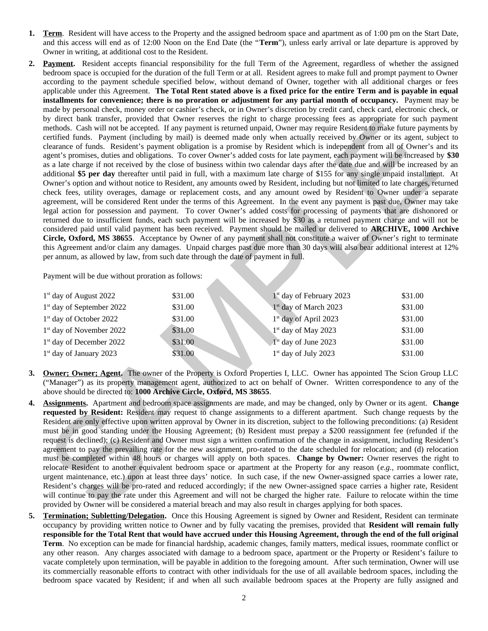- **1. Term**. Resident will have access to the Property and the assigned bedroom space and apartment as of 1:00 pm on the Start Date, and this access will end as of 12:00 Noon on the End Date (the "**Term**"), unless early arrival or late departure is approved by Owner in writing, at additional cost to the Resident.
- **2. Payment.** Resident accepts financial responsibility for the full Term of the Agreement, regardless of whether the assigned bedroom space is occupied for the duration of the full Term or at all. Resident agrees to make full and prompt payment to Owner according to the payment schedule specified below, without demand of Owner, together with all additional charges or fees applicable under this Agreement. **The Total Rent stated above is a fixed price for the entire Term and is payable in equal installments for convenience; there is no proration or adjustment for any partial month of occupancy.** Payment may be made by personal check, money order or cashier's check, or in Owner's discretion by credit card, check card, electronic check, or by direct bank transfer, provided that Owner reserves the right to charge processing fees as appropriate for such payment methods. Cash will not be accepted. If any payment is returned unpaid, Owner may require Resident to make future payments by certified funds. Payment (including by mail) is deemed made only when actually received by Owner or its agent, subject to clearance of funds. Resident's payment obligation is a promise by Resident which is independent from all of Owner's and its agent's promises, duties and obligations. To cover Owner's added costs for late payment, each payment will be increased by **\$30** as a late charge if not received by the close of business within two calendar days after the date due and will be increased by an additional **\$5 per day** thereafter until paid in full, with a maximum late charge of \$155 for any single unpaid installment. At Owner's option and without notice to Resident, any amounts owed by Resident, including but not limited to late charges, returned check fees, utility overages, damage or replacement costs, and any amount owed by Resident to Owner under a separate agreement, will be considered Rent under the terms of this Agreement. In the event any payment is past due, Owner may take legal action for possession and payment. To cover Owner's added costs for processing of payments that are dishonored or returned due to insufficient funds, each such payment will be increased by \$30 as a returned payment charge and will not be considered paid until valid payment has been received. Payment should be mailed or delivered to **ARCHIVE, 1000 Archive Circle, Oxford, MS 38655**. Acceptance by Owner of any payment shall not constitute a waiver of Owner's right to terminate this Agreement and/or claim any damages. Unpaid charges past due more than 30 days will also bear additional interest at 12% per annum, as allowed by law, from such date through the date of payment in full. By and the matterial process that over the control and other than the comparison and the control and the control and the control and the control and the control and the control and the control and the control and the cont

Payment will be due without proration as follows:

| $1st$ day of August 2022              | \$31.00 | 1 <sup>st</sup> day of February 2023 | \$31.00 |
|---------------------------------------|---------|--------------------------------------|---------|
| 1 <sup>st</sup> day of September 2022 | \$31.00 | 1 <sup>st</sup> day of March 2023    | \$31.00 |
| 1 <sup>st</sup> day of October 2022   | \$31.00 | 1 <sup>st</sup> day of April 2023    | \$31.00 |
| 1 <sup>st</sup> day of November 2022  | \$31.00 | $1st$ day of May 2023                | \$31.00 |
| 1 <sup>st</sup> day of December 2022  | \$31.00 | $1st$ day of June 2023               | \$31.00 |
| $1st$ day of January 2023             | \$31.00 | $1st$ day of July 2023               | \$31.00 |

- **3. Owner; Owner; Agent.** The owner of the Property is Oxford Properties I, LLC. Owner has appointed The Scion Group LLC ("Manager") as its property management agent, authorized to act on behalf of Owner. Written correspondence to any of the above should be directed to: **1000 Archive Circle, Oxford, MS 38655**.
- **4. Assignments.** Apartment and bedroom space assignments are made, and may be changed, only by Owner or its agent. **Change requested by Resident:** Resident may request to change assignments to a different apartment. Such change requests by the Resident are only effective upon written approval by Owner in its discretion, subject to the following preconditions: (a) Resident must be in good standing under the Housing Agreement; (b) Resident must prepay a \$200 reassignment fee (refunded if the request is declined); (c) Resident and Owner must sign a written confirmation of the change in assignment, including Resident's agreement to pay the prevailing rate for the new assignment, pro-rated to the date scheduled for relocation; and (d) relocation must be completed within 48 hours or charges will apply on both spaces. **Change by Owner:** Owner reserves the right to relocate Resident to another equivalent bedroom space or apartment at the Property for any reason (*e.g.,* roommate conflict, urgent maintenance, etc.) upon at least three days' notice. In such case, if the new Owner-assigned space carries a lower rate, Resident's charges will be pro-rated and reduced accordingly; if the new Owner-assigned space carries a higher rate, Resident will continue to pay the rate under this Agreement and will not be charged the higher rate. Failure to relocate within the time provided by Owner will be considered a material breach and may also result in charges applying for both spaces.
- **5. Termination; Subletting/Delegation.** Once this Housing Agreement is signed by Owner and Resident, Resident can terminate occupancy by providing written notice to Owner and by fully vacating the premises, provided that **Resident will remain fully responsible for the Total Rent that would have accrued under this Housing Agreement, through the end of the full original Term**. No exception can be made for financial hardship, academic changes, family matters, medical issues, roommate conflict or any other reason. Any charges associated with damage to a bedroom space, apartment or the Property or Resident's failure to vacate completely upon termination, will be payable in addition to the foregoing amount. After such termination, Owner will use its commercially reasonable efforts to contract with other individuals for the use of all available bedroom spaces, including the bedroom space vacated by Resident; if and when all such available bedroom spaces at the Property are fully assigned and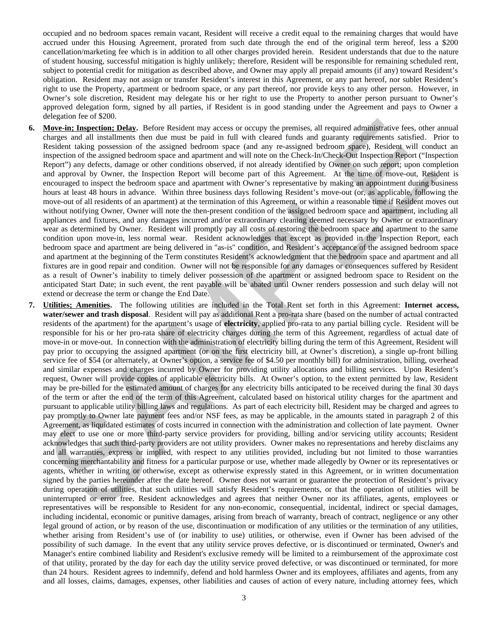occupied and no bedroom spaces remain vacant, Resident will receive a credit equal to the remaining charges that would have accrued under this Housing Agreement, prorated from such date through the end of the original term hereof, less a \$200 cancellation/marketing fee which is in addition to all other charges provided herein. Resident understands that due to the nature of student housing, successful mitigation is highly unlikely; therefore, Resident will be responsible for remaining scheduled rent, subject to potential credit for mitigation as described above, and Owner may apply all prepaid amounts (if any) toward Resident's obligation. Resident may not assign or transfer Resident's interest in this Agreement, or any part hereof, nor sublet Resident's right to use the Property, apartment or bedroom space, or any part thereof, nor provide keys to any other person. However, in Owner's sole discretion, Resident may delegate his or her right to use the Property to another person pursuant to Owner's approved delegation form, signed by all parties, if Resident is in good standing under the Agreement and pays to Owner a delegation fee of \$200.

- **6. Move-in; Inspection; Delay.** Before Resident may access or occupy the premises, all required administrative fees, other annual charges and all installments then due must be paid in full with cleared funds and guaranty requirements satisfied. Prior to Resident taking possession of the assigned bedroom space (and any re-assigned bedroom space), Resident will conduct an inspection of the assigned bedroom space and apartment and will note on the Check-In/Check-Out Inspection Report ("Inspection Report") any defects, damage or other conditions observed, if not already identified by Owner on such report; upon completion and approval by Owner, the Inspection Report will become part of this Agreement. At the time of move-out, Resident is encouraged to inspect the bedroom space and apartment with Owner's representative by making an appointment during business hours at least 48 hours in advance. Within three business days following Resident's move-out (or, as applicable, following the move-out of all residents of an apartment) at the termination of this Agreement, or within a reasonable time if Resident moves out without notifying Owner, Owner will note the then-present condition of the assigned bedroom space and apartment, including all appliances and fixtures, and any damages incurred and/or extraordinary cleaning deemed necessary by Owner or extraordinary wear as determined by Owner. Resident will promptly pay all costs of restoring the bedroom space and apartment to the same condition upon move-in, less normal wear. Resident acknowledges that except as provided in the Inspection Report, each bedroom space and apartment are being delivered in "as-is" condition, and Resident's acceptance of the assigned bedroom space and apartment at the beginning of the Term constitutes Resident's acknowledgment that the bedroom space and apartment and all fixtures are in good repair and condition. Owner will not be responsible for any damages or consequences suffered by Resident as a result of Owner's inability to timely deliver possession of the apartment or assigned bedroom space to Resident on the anticipated Start Date; in such event, the rent payable will be abated until Owner renders possession and such delay will not extend or decrease the term or change the End Date.
- **7. Utilities; Amenities.** The following utilities are included in the Total Rent set forth in this Agreement: **Internet access, water/sewer and trash disposal**. Resident will pay as additional Rent a pro-rata share (based on the number of actual contracted residents of the apartment) for the apartment's usage of **electricity**, applied pro-rata to any partial billing cycle. Resident will be responsible for his or her pro-rata share of electricity charges during the term of this Agreement, regardless of actual date of move-in or move-out. In connection with the administration of electricity billing during the term of this Agreement, Resident will pay prior to occupying the assigned apartment (or on the first electricity bill, at Owner's discretion), a single up-front billing service fee of \$54 (or alternately, at Owner's option, a service fee of \$4.50 per monthly bill) for administration, billing, overhead and similar expenses and charges incurred by Owner for providing utility allocations and billing services. Upon Resident's request, Owner will provide copies of applicable electricity bills. At Owner's option, to the extent permitted by law, Resident may be pre-billed for the estimated amount of charges for any electricity bills anticipated to be received during the final 30 days of the term or after the end of the term of this Agreement, calculated based on historical utility charges for the apartment and pursuant to applicable utility billing laws and regulations. As part of each electricity bill, Resident may be charged and agrees to pay promptly to Owner late payment fees and/or NSF fees, as may be applicable, in the amounts stated in paragraph 2 of this Agreement, as liquidated estimates of costs incurred in connection with the administration and collection of late payment. Owner may elect to use one or more third-party service providers for providing, billing and/or servicing utility accounts; Resident acknowledges that such third-party providers are not utility providers. Owner makes no representations and hereby disclaims any and all warranties, express or implied, with respect to any utilities provided, including but not limited to those warranties concerning merchantability and fitness for a particular purpose or use, whether made allegedly by Owner or its representatives or agents, whether in writing or otherwise, except as otherwise expressly stated in this Agreement, or in written documentation signed by the parties hereunder after the date hereof. Owner does not warrant or guarantee the protection of Resident's privacy during operation of utilities, that such utilities will satisfy Resident's requirements, or that the operation of utilities will be uninterrupted or error free. Resident acknowledges and agrees that neither Owner nor its affiliates, agents, employees or representatives will be responsible to Resident for any non-economic, consequential, incidental, indirect or special damages, including incidental, economic or punitive damages, arising from breach of warranty, breach of contract, negligence or any other legal ground of action, or by reason of the use, discontinuation or modification of any utilities or the termination of any utilities, whether arising from Resident's use of (or inability to use) utilities, or otherwise, even if Owner has been advised of the possibility of such damage. In the event that any utility service proves defective, or is discontinued or terminated, Owner's and Manager's entire combined liability and Resident's exclusive remedy will be limited to a reimbursement of the approximate cost of that utility, prorated by the day for each day the utility service proved defective, or was discontinued or terminated, for more than 24 hours. Resident agrees to indemnify, defend and hold harmless Owner and its employees, affiliates and agents, from any and all losses, claims, damages, expenses, other liabilities and causes of action of every nature, including attorney fees, which exage to the constraint the dentistic space of existent may access or occupy the premises, all required administrative fees, other<br>descendant the constraints that due must be pled in the visible chered that all respective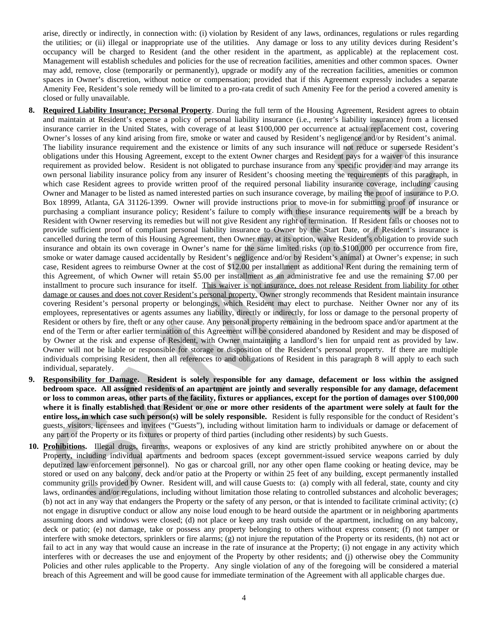arise, directly or indirectly, in connection with: (i) violation by Resident of any laws, ordinances, regulations or rules regarding the utilities; or (ii) illegal or inappropriate use of the utilities. Any damage or loss to any utility devices during Resident's occupancy will be charged to Resident (and the other resident in the apartment, as applicable) at the replacement cost. Management will establish schedules and policies for the use of recreation facilities, amenities and other common spaces. Owner may add, remove, close (temporarily or permanently), upgrade or modify any of the recreation facilities, amenities or common spaces in Owner's discretion, without notice or compensation; provided that if this Agreement expressly includes a separate Amenity Fee, Resident's sole remedy will be limited to a pro-rata credit of such Amenity Fee for the period a covered amenity is closed or fully unavailable.

- **8. Required Liability Insurance; Personal Property**. During the full term of the Housing Agreement, Resident agrees to obtain and maintain at Resident's expense a policy of personal liability insurance (i.e., renter's liability insurance) from a licensed insurance carrier in the United States, with coverage of at least \$100,000 per occurrence at actual replacement cost, covering Owner's losses of any kind arising from fire, smoke or water and caused by Resident's negligence and/or by Resident's animal. The liability insurance requirement and the existence or limits of any such insurance will not reduce or supersede Resident's obligations under this Housing Agreement, except to the extent Owner charges and Resident pays for a waiver of this insurance requirement as provided below. Resident is not obligated to purchase insurance from any specific provider and may arrange its own personal liability insurance policy from any insurer of Resident's choosing meeting the requirements of this paragraph, in which case Resident agrees to provide written proof of the required personal liability insurance coverage, including causing Owner and Manager to be listed as named interested parties on such insurance coverage, by mailing the proof of insurance to P.O. Box 18999, Atlanta, GA 31126-1399. Owner will provide instructions prior to move-in for submitting proof of insurance or purchasing a compliant insurance policy; Resident's failure to comply with these insurance requirements will be a breach by Resident with Owner reserving its remedies but will not give Resident any right of termination. If Resident fails or chooses not to provide sufficient proof of compliant personal liability insurance to Owner by the Start Date, or if Resident's insurance is cancelled during the term of this Housing Agreement, then Owner may, at its option, waive Resident's obligation to provide such insurance and obtain its own coverage in Owner's name for the same limited risks (up to \$100,000 per occurrence from fire, smoke or water damage caused accidentally by Resident's negligence and/or by Resident's animal) at Owner's expense; in such case, Resident agrees to reimburse Owner at the cost of \$12.00 per installment as additional Rent during the remaining term of this Agreement, of which Owner will retain \$5.00 per installment as an administrative fee and use the remaining \$7.00 per installment to procure such insurance for itself. This waiver is not insurance, does not release Resident from liability for other damage or causes and does not cover Resident's personal property. Owner strongly recommends that Resident maintain insurance covering Resident's personal property or belongings, which Resident may elect to purchase. Neither Owner nor any of its employees, representatives or agents assumes any liability, directly or indirectly, for loss or damage to the personal property of Resident or others by fire, theft or any other cause. Any personal property remaining in the bedroom space and/or apartment at the end of the Term or after earlier termination of this Agreement will be considered abandoned by Resident and may be disposed of by Owner at the risk and expense of Resident, with Owner maintaining a landlord's lien for unpaid rent as provided by law. Owner will not be liable or responsible for storage or disposition of the Resident's personal property. If there are multiple individuals comprising Resident, then all references to and obligations of Resident in this paragraph 8 will apply to each such individual, separately. and maintain at Resident's expense a policy of personal liainly incounnel (i.e., wenter's liaidly incompared through the state of the state of the state of the state of the state of the state of the state of the state of
- **9. Responsibility for Damage. Resident is solely responsible for any damage, defacement or loss within the assigned bedroom space. All assigned residents of an apartment are jointly and severally responsible for any damage, defacement or loss to common areas, other parts of the facility, fixtures or appliances, except for the portion of damages over \$100,000 where it is finally established that Resident or one or more other residents of the apartment were solely at fault for the entire loss, in which case such person(s) will be solely responsible.** Resident is fully responsible for the conduct of Resident's guests, visitors, licensees and invitees ("Guests"), including without limitation harm to individuals or damage or defacement of any part of the Property or its fixtures or property of third parties (including other residents) by such Guests.
- **10. Prohibitions.** Illegal drugs, firearms, weapons or explosives of any kind are strictly prohibited anywhere on or about the Property, including individual apartments and bedroom spaces (except government-issued service weapons carried by duly deputized law enforcement personnel). No gas or charcoal grill, nor any other open flame cooking or heating device, may be stored or used on any balcony, deck and/or patio at the Property or within 25 feet of any building, except permanently installed community grills provided by Owner. Resident will, and will cause Guests to: (a) comply with all federal, state, county and city laws, ordinances and/or regulations, including without limitation those relating to controlled substances and alcoholic beverages; (b) not act in any way that endangers the Property or the safety of any person, or that is intended to facilitate criminal activity; (c) not engage in disruptive conduct or allow any noise loud enough to be heard outside the apartment or in neighboring apartments assuming doors and windows were closed; (d) not place or keep any trash outside of the apartment, including on any balcony, deck or patio; (e) not damage, take or possess any property belonging to others without express consent; (f) not tamper or interfere with smoke detectors, sprinklers or fire alarms; (g) not injure the reputation of the Property or its residents, (h) not act or fail to act in any way that would cause an increase in the rate of insurance at the Property; (i) not engage in any activity which interferes with or decreases the use and enjoyment of the Property by other residents; and (j) otherwise obey the Community Policies and other rules applicable to the Property. Any single violation of any of the foregoing will be considered a material breach of this Agreement and will be good cause for immediate termination of the Agreement with all applicable charges due.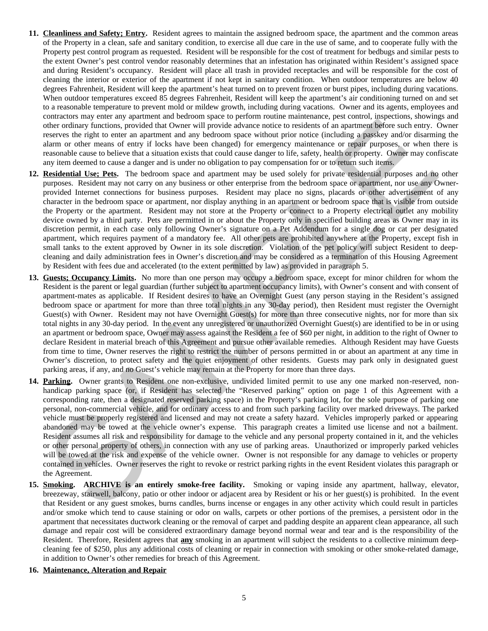- **11. Cleanliness and Safety; Entry.** Resident agrees to maintain the assigned bedroom space, the apartment and the common areas of the Property in a clean, safe and sanitary condition, to exercise all due care in the use of same, and to cooperate fully with the Property pest control program as requested. Resident will be responsible for the cost of treatment for bedbugs and similar pests to the extent Owner's pest control vendor reasonably determines that an infestation has originated within Resident's assigned space and during Resident's occupancy. Resident will place all trash in provided receptacles and will be responsible for the cost of cleaning the interior or exterior of the apartment if not kept in sanitary condition. When outdoor temperatures are below 40 degrees Fahrenheit, Resident will keep the apartment's heat turned on to prevent frozen or burst pipes, including during vacations. When outdoor temperatures exceed 85 degrees Fahrenheit, Resident will keep the apartment's air conditioning turned on and set to a reasonable temperature to prevent mold or mildew growth, including during vacations. Owner and its agents, employees and contractors may enter any apartment and bedroom space to perform routine maintenance, pest control, inspections, showings and other ordinary functions, provided that Owner will provide advance notice to residents of an apartment before such entry. Owner reserves the right to enter an apartment and any bedroom space without prior notice (including a passkey and/or disarming the alarm or other means of entry if locks have been changed) for emergency maintenance or repair purposes, or when there is reasonable cause to believe that a situation exists that could cause danger to life, safety, health or property. Owner may confiscate any item deemed to cause a danger and is under no obligation to pay compensation for or to return such items.
- **12. Residential Use; Pets.** The bedroom space and apartment may be used solely for private residential purposes and no other purposes. Resident may not carry on any business or other enterprise from the bedroom space or apartment, nor use any Ownerprovided Internet connections for business purposes. Resident may place no signs, placards or other advertisement of any character in the bedroom space or apartment, nor display anything in an apartment or bedroom space that is visible from outside the Property or the apartment. Resident may not store at the Property or connect to a Property electrical outlet any mobility device owned by a third party. Pets are permitted in or about the Property only in specified building areas as Owner may in its discretion permit, in each case only following Owner's signature on a Pet Addendum for a single dog or cat per designated apartment, which requires payment of a mandatory fee. All other pets are prohibited anywhere at the Property, except fish in small tanks to the extent approved by Owner in its sole discretion. Violation of the pet policy will subject Resident to deepcleaning and daily administration fees in Owner's discretion and may be considered as a termination of this Housing Agreement by Resident with fees due and accelerated (to the extent permitted by law) as provided in paragraph 5.
- **13. Guests; Occupancy Limits.** No more than one person may occupy a bedroom space, except for minor children for whom the Resident is the parent or legal guardian (further subject to apartment occupancy limits), with Owner's consent and with consent of apartment-mates as applicable. If Resident desires to have an Overnight Guest (any person staying in the Resident's assigned bedroom space or apartment for more than three total nights in any 30-day period), then Resident must register the Overnight Guest(s) with Owner. Resident may not have Overnight Guest(s) for more than three consecutive nights, nor for more than six total nights in any 30-day period. In the event any unregistered or unauthorized Overnight Guest(s) are identified to be in or using an apartment or bedroom space, Owner may assess against the Resident a fee of \$60 per night, in addition to the right of Owner to declare Resident in material breach of this Agreement and pursue other available remedies. Although Resident may have Guests from time to time, Owner reserves the right to restrict the number of persons permitted in or about an apartment at any time in Owner's discretion, to protect safety and the quiet enjoyment of other residents. Guests may park only in designated guest parking areas, if any, and no Guest's vehicle may remain at the Property for more than three days. and the main validary and the both that Ocean will provide between ontain entailes at an example, the main validary in the main validary in the main validary and the main validary in the main validary and the main validar
- **14. Parking.** Owner grants to Resident one non-exclusive, undivided limited permit to use any one marked non-reserved, nonhandicap parking space (or, if Resident has selected the "Reserved parking" option on page 1 of this Agreement with a corresponding rate, then a designated reserved parking space) in the Property's parking lot, for the sole purpose of parking one personal, non-commercial vehicle, and for ordinary access to and from such parking facility over marked driveways. The parked vehicle must be properly registered and licensed and may not create a safety hazard. Vehicles improperly parked or appearing abandoned may be towed at the vehicle owner's expense. This paragraph creates a limited use license and not a bailment. Resident assumes all risk and responsibility for damage to the vehicle and any personal property contained in it, and the vehicles or other personal property of others, in connection with any use of parking areas. Unauthorized or improperly parked vehicles will be towed at the risk and expense of the vehicle owner. Owner is not responsible for any damage to vehicles or property contained in vehicles. Owner reserves the right to revoke or restrict parking rights in the event Resident violates this paragraph or the Agreement.
- **15. Smoking. ARCHIVE is an entirely smoke-free facility.** Smoking or vaping inside any apartment, hallway, elevator, breezeway, stairwell, balcony, patio or other indoor or adjacent area by Resident or his or her guest(s) is prohibited. In the event that Resident or any guest smokes, burns candles, burns incense or engages in any other activity which could result in particles and/or smoke which tend to cause staining or odor on walls, carpets or other portions of the premises, a persistent odor in the apartment that necessitates ductwork cleaning or the removal of carpet and padding despite an apparent clean appearance, all such damage and repair cost will be considered extraordinary damage beyond normal wear and tear and is the responsibility of the Resident. Therefore, Resident agrees that **any** smoking in an apartment will subject the residents to a collective minimum deepcleaning fee of \$250, plus any additional costs of cleaning or repair in connection with smoking or other smoke-related damage, in addition to Owner's other remedies for breach of this Agreement.
- **16. Maintenance, Alteration and Repair**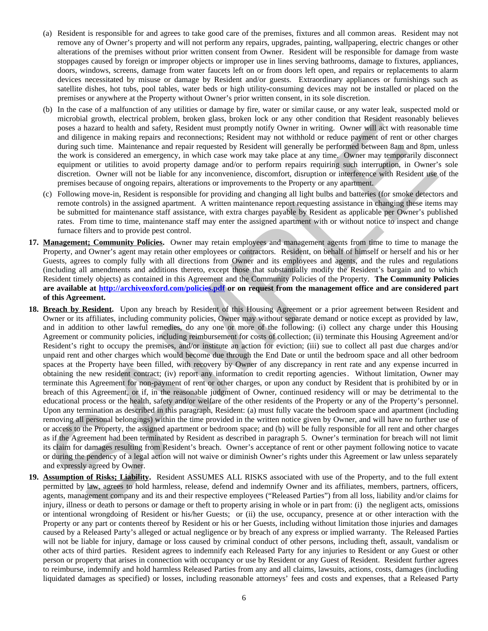- (a) Resident is responsible for and agrees to take good care of the premises, fixtures and all common areas. Resident may not remove any of Owner's property and will not perform any repairs, upgrades, painting, wallpapering, electric changes or other alterations of the premises without prior written consent from Owner. Resident will be responsible for damage from waste stoppages caused by foreign or improper objects or improper use in lines serving bathrooms, damage to fixtures, appliances, doors, windows, screens, damage from water faucets left on or from doors left open, and repairs or replacements to alarm devices necessitated by misuse or damage by Resident and/or guests. Extraordinary appliances or furnishings such as satellite dishes, hot tubs, pool tables, water beds or high utility-consuming devices may not be installed or placed on the premises or anywhere at the Property without Owner's prior written consent, in its sole discretion.
- (b) In the case of a malfunction of any utilities or damage by fire, water or similar cause, or any water leak, suspected mold or microbial growth, electrical problem, broken glass, broken lock or any other condition that Resident reasonably believes poses a hazard to health and safety, Resident must promptly notify Owner in writing. Owner will act with reasonable time and diligence in making repairs and reconnections; Resident may not withhold or reduce payment of rent or other charges during such time. Maintenance and repair requested by Resident will generally be performed between 8am and 8pm, unless the work is considered an emergency, in which case work may take place at any time. Owner may temporarily disconnect equipment or utilities to avoid property damage and/or to perform repairs requiring such interruption, in Owner's sole discretion. Owner will not be liable for any inconvenience, discomfort, disruption or interference with Resident use of the premises because of ongoing repairs, alterations or improvements to the Property or any apartment.
- (c) Following move-in, Resident is responsible for providing and changing all light bulbs and batteries (for smoke detectors and remote controls) in the assigned apartment. A written maintenance report requesting assistance in changing these items may be submitted for maintenance staff assistance, with extra charges payable by Resident as applicable per Owner's published rates. From time to time, maintenance staff may enter the assigned apartment with or without notice to inspect and change furnace filters and to provide pest control.
- **17. Management; Community Policies.** Owner may retain employees and management agents from time to time to manage the Property, and Owner's agent may retain other employees or contractors. Resident, on behalf of himself or herself and his or her Guests, agrees to comply fully with all directions from Owner and its employees and agents, and the rules and regulations (including all amendments and additions thereto, except those that substantially modify the Resident's bargain and to which Resident timely objects) as contained in this Agreement and the Community Policies of the Property. **The Community Policies are available at http://archiveoxford.com/policies.pdf or on request from the management office and are considered part of this Agreement.**
- **18. Breach by Resident.** Upon any breach by Resident of this Housing Agreement or a prior agreement between Resident and Owner or its affiliates, including community policies, Owner may without separate demand or notice except as provided by law, and in addition to other lawful remedies, do any one or more of the following: (i) collect any charge under this Housing Agreement or community policies, including reimbursement for costs of collection; (ii) terminate this Housing Agreement and/or Resident's right to occupy the premises, and/or institute an action for eviction; (iii) sue to collect all past due charges and/or unpaid rent and other charges which would become due through the End Date or until the bedroom space and all other bedroom spaces at the Property have been filled, with recovery by Owner of any discrepancy in rent rate and any expense incurred in obtaining the new resident contract; (iv) report any information to credit reporting agencies. Without limitation, Owner may terminate this Agreement for non-payment of rent or other charges, or upon any conduct by Resident that is prohibited by or in breach of this Agreement, or if, in the reasonable judgment of Owner, continued residency will or may be detrimental to the educational process or the health, safety and/or welfare of the other residents of the Property or any of the Property's personnel. Upon any termination as described in this paragraph, Resident: (a) must fully vacate the bedroom space and apartment (including removing all personal belongings) within the time provided in the written notice given by Owner, and will have no further use of or access to the Property, the assigned apartment or bedroom space; and (b) will be fully responsible for all rent and other charges as if the Agreement had been terminated by Resident as described in paragraph 5. Owner's termination for breach will not limit its claim for damages resulting from Resident's breach. Owner's acceptance of rent or other payment following notice to vacate or during the pendency of a legal action will not waive or diminish Owner's rights under this Agreement or law unless separately and expressly agreed by Owner. metrolan growin, electrical probable. In these plass, howevel lock or any other consisten may be a statistical probable plass and may be a statistical probable plass and may be a statistical probable may be a statistical m
- **19. Assumption of Risks; Liability.** Resident ASSUMES ALL RISKS associated with use of the Property, and to the full extent permitted by law, agrees to hold harmless, release, defend and indemnify Owner and its affiliates, members, partners, officers, agents, management company and its and their respective employees ("Released Parties") from all loss, liability and/or claims for injury, illness or death to persons or damage or theft to property arising in whole or in part from: (i) the negligent acts, omissions or intentional wrongdoing of Resident or his/her Guests; or (ii) the use, occupancy, presence at or other interaction with the Property or any part or contents thereof by Resident or his or her Guests, including without limitation those injuries and damages caused by a Released Party's alleged or actual negligence or by breach of any express or implied warranty. The Released Parties will not be liable for injury, damage or loss caused by criminal conduct of other persons, including theft, assault, vandalism or other acts of third parties. Resident agrees to indemnify each Released Party for any injuries to Resident or any Guest or other person or property that arises in connection with occupancy or use by Resident or any Guest of Resident. Resident further agrees to reimburse, indemnify and hold harmless Released Parties from any and all claims, lawsuits, actions, costs, damages (including liquidated damages as specified) or losses, including reasonable attorneys' fees and costs and expenses, that a Released Party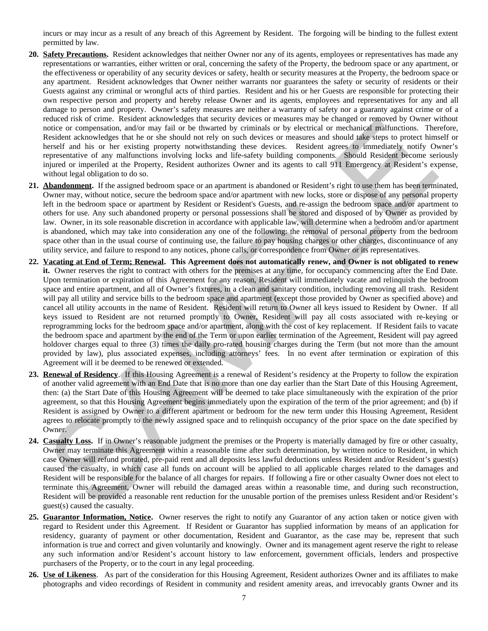incurs or may incur as a result of any breach of this Agreement by Resident. The forgoing will be binding to the fullest extent permitted by law.

- **20. Safety Precautions.** Resident acknowledges that neither Owner nor any of its agents, employees or representatives has made any representations or warranties, either written or oral, concerning the safety of the Property, the bedroom space or any apartment, or the effectiveness or operability of any security devices or safety, health or security measures at the Property, the bedroom space or any apartment. Resident acknowledges that Owner neither warrants nor guarantees the safety or security of residents or their Guests against any criminal or wrongful acts of third parties. Resident and his or her Guests are responsible for protecting their own respective person and property and hereby release Owner and its agents, employees and representatives for any and all damage to person and property. Owner's safety measures are neither a warranty of safety nor a guaranty against crime or of a reduced risk of crime. Resident acknowledges that security devices or measures may be changed or removed by Owner without notice or compensation, and/or may fail or be thwarted by criminals or by electrical or mechanical malfunctions. Therefore, Resident acknowledges that he or she should not rely on such devices or measures and should take steps to protect himself or herself and his or her existing property notwithstanding these devices. Resident agrees to immediately notify Owner's representative of any malfunctions involving locks and life-safety building components. Should Resident become seriously injured or imperiled at the Property, Resident authorizes Owner and its agents to call 911 Emergency at Resident's expense, without legal obligation to do so.
- **21. Abandonment.** If the assigned bedroom space or an apartment is abandoned or Resident's right to use them has been terminated, Owner may, without notice, secure the bedroom space and/or apartment with new locks, store or dispose of any personal property left in the bedroom space or apartment by Resident or Resident's Guests, and re-assign the bedroom space and/or apartment to others for use. Any such abandoned property or personal possessions shall be stored and disposed of by Owner as provided by law. Owner, in its sole reasonable discretion in accordance with applicable law, will determine when a bedroom and/or apartment is abandoned, which may take into consideration any one of the following: the removal of personal property from the bedroom space other than in the usual course of continuing use, the failure to pay housing charges or other charges, discontinuance of any utility service, and failure to respond to any notices, phone calls, or correspondence from Owner or its representatives.
- **22. Vacating at End of Term; Renewal. This Agreement does not automatically renew, and Owner is not obligated to renew it.** Owner reserves the right to contract with others for the premises at any time, for occupancy commencing after the End Date. Upon termination or expiration of this Agreement for any reason, Resident will immediately vacate and relinquish the bedroom space and entire apartment, and all of Owner's fixtures, in a clean and sanitary condition, including removing all trash. Resident will pay all utility and service bills to the bedroom space and apartment (except those provided by Owner as specified above) and cancel all utility accounts in the name of Resident. Resident will return to Owner all keys issued to Resident by Owner. If all keys issued to Resident are not returned promptly to Owner, Resident will pay all costs associated with re-keying or reprogramming locks for the bedroom space and/or apartment, along with the cost of key replacement. If Resident fails to vacate the bedroom space and apartment by the end of the Term or upon earlier termination of the Agreement, Resident will pay agreed holdover charges equal to three (3) times the daily pro-rated housing charges during the Term (but not more than the amount provided by law), plus associated expenses, including attorneys' fees. In no event after termination or expiration of this Agreement will it be deemed to be renewed or extended. related rate et cannot according that security are sent in some that many account the principal of reduction and the state of the state of the state of the state of the state of the state of the state and the state of the
- **23. Renewal of Residency**. If this Housing Agreement is a renewal of Resident's residency at the Property to follow the expiration of another valid agreement with an End Date that is no more than one day earlier than the Start Date of this Housing Agreement, then: (a) the Start Date of this Housing Agreement will be deemed to take place simultaneously with the expiration of the prior agreement, so that this Housing Agreement begins immediately upon the expiration of the term of the prior agreement; and (b) if Resident is assigned by Owner to a different apartment or bedroom for the new term under this Housing Agreement, Resident agrees to relocate promptly to the newly assigned space and to relinquish occupancy of the prior space on the date specified by Owner.
- **24. Casualty Loss.** If in Owner's reasonable judgment the premises or the Property is materially damaged by fire or other casualty, Owner may terminate this Agreement within a reasonable time after such determination, by written notice to Resident, in which case Owner will refund prorated, pre-paid rent and all deposits less lawful deductions unless Resident and/or Resident's guest(s) caused the casualty, in which case all funds on account will be applied to all applicable charges related to the damages and Resident will be responsible for the balance of all charges for repairs. If following a fire or other casualty Owner does not elect to terminate this Agreement, Owner will rebuild the damaged areas within a reasonable time, and during such reconstruction, Resident will be provided a reasonable rent reduction for the unusable portion of the premises unless Resident and/or Resident's guest(s) caused the casualty.
- **25. Guarantor Information, Notice.** Owner reserves the right to notify any Guarantor of any action taken or notice given with regard to Resident under this Agreement. If Resident or Guarantor has supplied information by means of an application for residency, guaranty of payment or other documentation, Resident and Guarantor, as the case may be, represent that such information is true and correct and given voluntarily and knowingly. Owner and its management agent reserve the right to release any such information and/or Resident's account history to law enforcement, government officials, lenders and prospective purchasers of the Property, or to the court in any legal proceeding.
- **26. Use of Likeness**. As part of the consideration for this Housing Agreement, Resident authorizes Owner and its affiliates to make photographs and video recordings of Resident in community and resident amenity areas, and irrevocably grants Owner and its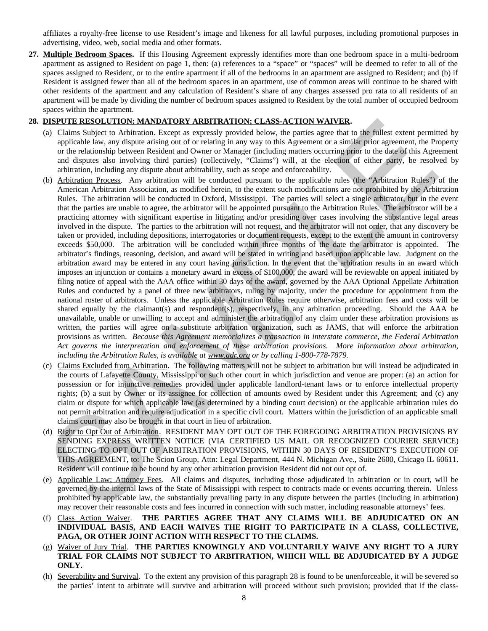affiliates a royalty-free license to use Resident's image and likeness for all lawful purposes, including promotional purposes in advertising, video, web, social media and other formats.

**27. Multiple Bedroom Spaces.** If this Housing Agreement expressly identifies more than one bedroom space in a multi-bedroom apartment as assigned to Resident on page 1, then: (a) references to a "space" or "spaces" will be deemed to refer to all of the spaces assigned to Resident, or to the entire apartment if all of the bedrooms in an apartment are assigned to Resident; and (b) if Resident is assigned fewer than all of the bedroom spaces in an apartment, use of common areas will continue to be shared with other residents of the apartment and any calculation of Resident's share of any charges assessed pro rata to all residents of an apartment will be made by dividing the number of bedroom spaces assigned to Resident by the total number of occupied bedroom spaces within the apartment.

## **28. DISPUTE RESOLUTION; MANDATORY ARBITRATION; CLASS-ACTION WAIVER.**

- (a) Claims Subject to Arbitration. Except as expressly provided below, the parties agree that to the fullest extent permitted by applicable law, any dispute arising out of or relating in any way to this Agreement or a similar prior agreement, the Property or the relationship between Resident and Owner or Manager (including matters occurring prior to the date of this Agreement and disputes also involving third parties) (collectively, "Claims") will, at the election of either party, be resolved by arbitration, including any dispute about arbitrability, such as scope and enforceability.
- (b) Arbitration Process. Any arbitration will be conducted pursuant to the applicable rules (the "Arbitration Rules") of the American Arbitration Association, as modified herein, to the extent such modifications are not prohibited by the Arbitration Rules. The arbitration will be conducted in Oxford, Mississippi. The parties will select a single arbitrator, but in the event that the parties are unable to agree, the arbitrator will be appointed pursuant to the Arbitration Rules. The arbitrator will be a practicing attorney with significant expertise in litigating and/or presiding over cases involving the substantive legal areas involved in the dispute. The parties to the arbitration will not request, and the arbitrator will not order, that any discovery be taken or provided, including depositions, interrogatories or document requests, except to the extent the amount in controversy exceeds \$50,000. The arbitration will be concluded within three months of the date the arbitrator is appointed. The arbitrator's findings, reasoning, decision, and award will be stated in writing and based upon applicable law. Judgment on the arbitration award may be entered in any court having jurisdiction. In the event that the arbitration results in an award which imposes an injunction or contains a monetary award in excess of \$100,000, the award will be reviewable on appeal initiated by filing notice of appeal with the AAA office within 30 days of the award, governed by the AAA Optional Appellate Arbitration Rules and conducted by a panel of three new arbitrators, ruling by majority, under the procedure for appointment from the national roster of arbitrators. Unless the applicable Arbitration Rules require otherwise, arbitration fees and costs will be shared equally by the claimant(s) and respondent(s), respectively, in any arbitration proceeding. Should the AAA be unavailable, unable or unwilling to accept and administer the arbitration of any claim under these arbitration provisions as written, the parties will agree on a substitute arbitration organization, such as JAMS, that will enforce the arbitration provisions as written. *Because this Agreement memorializes a transaction in interstate commerce, the Federal Arbitration Act governs the interpretation and enforcement of these arbitration provisions. More information about arbitration, including the Arbitration Rules, is available at www.adr.org or by calling 1-800-778-7879.* **IDSECTE RESOLUTION: ADAIDED AREA TRANSPORT AREA TRANSPORT AND HOW ELLES-MOTION: A CHAINER AREA TRANSPORT ARE AND ACTUAL ARE SERVER AND ANNOUNCED ARE AND ACTUAL ARE SERVER (AND AND ALLES ARE AND ALLES ARE AND ARE AND ARE**
- (c) Claims Excluded from Arbitration. The following matters will not be subject to arbitration but will instead be adjudicated in the courts of Lafayette County, Mississippi or such other court in which jurisdiction and venue are proper: (a) an action for possession or for injunctive remedies provided under applicable landlord-tenant laws or to enforce intellectual property rights; (b) a suit by Owner or its assignee for collection of amounts owed by Resident under this Agreement; and (c) any claim or dispute for which applicable law (as determined by a binding court decision) or the applicable arbitration rules do not permit arbitration and require adjudication in a specific civil court. Matters within the jurisdiction of an applicable small claims court may also be brought in that court in lieu of arbitration.
- (d) Right to Opt Out of Arbitration. RESIDENT MAY OPT OUT OF THE FOREGOING ARBITRATION PROVISIONS BY SENDING EXPRESS WRITTEN NOTICE (VIA CERTIFIED US MAIL OR RECOGNIZED COURIER SERVICE) ELECTING TO OPT OUT OF ARBITRATION PROVISIONS, WITHIN 30 DAYS OF RESIDENT'S EXECUTION OF THIS AGREEMENT, to: The Scion Group, Attn: Legal Department, 444 N. Michigan Ave., Suite 2600, Chicago IL 60611. Resident will continue to be bound by any other arbitration provision Resident did not out opt of.
- (e) Applicable Law; Attorney Fees. All claims and disputes, including those adjudicated in arbitration or in court, will be governed by the internal laws of the State of Mississippi with respect to contracts made or events occurring therein. Unless prohibited by applicable law, the substantially prevailing party in any dispute between the parties (including in arbitration) may recover their reasonable costs and fees incurred in connection with such matter, including reasonable attorneys' fees.
- (f) Class Action Waiver. **THE PARTIES AGREE THAT ANY CLAIMS WILL BE ADJUDICATED ON AN INDIVIDUAL BASIS, AND EACH WAIVES THE RIGHT TO PARTICIPATE IN A CLASS, COLLECTIVE, PAGA, OR OTHER JOINT ACTION WITH RESPECT TO THE CLAIMS.**
- (g) Waiver of Jury Trial. **THE PARTIES KNOWINGLY AND VOLUNTARILY WAIVE ANY RIGHT TO A JURY TRIAL FOR CLAIMS NOT SUBJECT TO ARBITRATION, WHICH WILL BE ADJUDICATED BY A JUDGE ONLY.**
- (h) Severability and Survival. To the extent any provision of this paragraph 28 is found to be unenforceable, it will be severed so the parties' intent to arbitrate will survive and arbitration will proceed without such provision; provided that if the class-